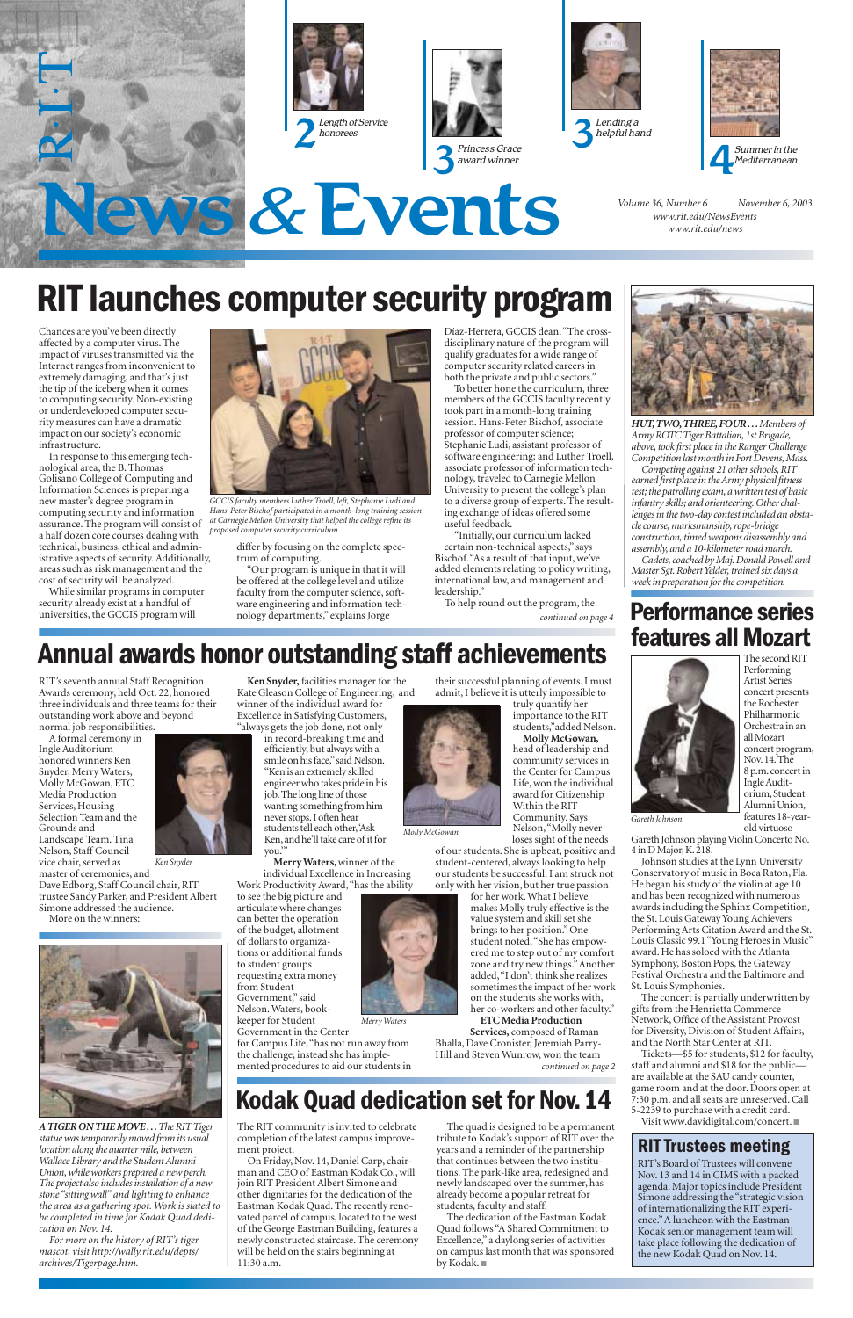*Volume 36, Number 6 November 6, 2003 www.rit.edu/NewsEvents www.rit.edu/news*











# **RIT launches computer security program**

### **Performance series features all Mozart**



Chances are you've been directly affected by a computer virus. The impact of viruses transmitted via the Internet ranges from inconvenient to extremely damaging, and that's just the tip of the iceberg when it comes to computing security. Non-existing or underdeveloped computer security measures can have a dramatic impact on our society's economic infrastructure.

In response to this emerging technological area, the B. Thomas Golisano College of Computing and Information Sciences is preparing a new master's degree program in computing security and information assurance. The program will consist of a half dozen core courses dealing with technical, business, ethical and administrative aspects of security. Additionally, areas such as risk management and the cost of security will be analyzed.

While similar programs in computer security already exist at a handful of universities, the GCCIS program will



differ by focusing on the complete spectrum of computing.

"Our program is unique in that it will be offered at the college level and utilize faculty from the computer science, software engineering and information technology departments," explains Jorge

Díaz-Herrera, GCCIS dean."The crossdisciplinary nature of the program will qualify graduates for a wide range of computer security related careers in both the private and public sectors."

in record-breaking time and efficiently, but always with a smile on his face,"said Nelson. "Ken is an extremely skilled engineer who takes pride in his job.The long line of those wanting something from him never stops.I often hear students tell each other,'Ask Ken,and he'll take care of it for you."

To better hone the curriculum, three members of the GCCIS faculty recently took part in a month-long training session. Hans-Peter Bischof, associate professor of computer science; Stephanie Ludi, assistant professor of software engineering; and Luther Troell, associate professor of information technology, traveled to Carnegie Mellon University to present the college's plan to a diverse group of experts. The resulting exchange of ideas offered some useful feedback.

"Initially, our curriculum lacked certain non-technical aspects," says Bischof."As a result of that input, we've added elements relating to policy writing, international law, and management and leadership."

*GCCIS faculty members Luther Troell, left, Stephanie Ludi and Hans-Peter Bischof participated in a month-long training session at Carnegie Mellon University that helped the college refine its proposed computer security curriculum.*

RIT's seventh annual Staff Recognition Awards ceremony, held Oct. 22, honored three individuals and three teams for their outstanding work above and beyond normal job responsibilities.

> Gareth Johnson playing Violin Concerto No. 4 in D Major, K. 218.

A formal ceremony in Ingle Auditorium honored winners Ken Snyder, Merry Waters, Molly McGowan, ETC Media Production Services, Housing Selection Team and the Grounds and Landscape Team. Tina Nelson, Staff Council vice chair, served as

master of ceremonies, and Dave Edborg, Staff Council chair, RIT trustee Sandy Parker, and President Albert Simone addressed the audience.

More on the winners:



**Ken Snyder,** facilities manager for the Kate Gleason College of Engineering, and winner of the individual award for Excellence in Satisfying Customers,

"always gets the job done, not only

**Merry Waters,**winner of the individual Excellence in Increasing Work Productivity Award,"has the ability

to see the big picture and articulate where changes can better the operation of the budget, allotment of dollars to organizations or additional funds to student groups

requesting extra money from Student Government," said Nelson. Waters, booktheir successful planning of events. I must admit, I believe it is utterly impossible to

truly quantify her



importance to the RIT students,"added Nelson. **Molly McGowan,**

head of leadership and community services in the Center for Campus Life, won the individual award for Citizenship Within the RIT Community. Says Nelson,"Molly never loses sight of the needs

of our students. She is upbeat, positive and student-centered, always looking to help our students be successful. I am struck not only with her vision, but her true passion

To help round out the program, the *continued on page 4*

> for her work. What I believe makes Molly truly effective is the value system and skill set she brings to her position." One student noted,"She has empowered me to step out of my comfort zone and try new things."Another

added,"I don't think she realizes



sometimes the impact of her work on the students she works with, her co-workers and other faculty." **ETC Media Production Services,** composed of Raman

The second RIT

Performing Artist Series concert presents the Rochester Philharmonic Orchestra in an all Mozart concert program, Nov.14.The 8 p.m.concert in Ingle Auditorium,Student Alumni Union, features 18-yearold virtuoso

Johnson studies at the Lynn University Conservatory of music in Boca Raton, Fla. He began his study of the violin at age 10 and has been recognized with numerous awards including the Sphinx Competition, the St. Louis Gateway Young Achievers Performing Arts Citation Award and the St. Louis Classic 99.1 "Young Heroes in Music" award. He has soloed with the Atlanta Symphony, Boston Pops, the Gateway

Festival Orchestra and the Baltimore and St. Louis Symphonies.

The concert is partially underwritten by gifts from the Henrietta Commerce Network, Office of the Assistant Provost for Diversity, Division of Student Affairs, and the North Star Center at RIT.

keeper for Student Government in the Center for Campus Life,"has not run away from the challenge; instead she has implemented procedures to aid our students in *Merry Waters*



Bhalla, Dave Cronister, Jeremiah Parry-Hill and Steven Wunrow, won the team *continued on page 2*

Tickets—\$5 for students, \$12 for faculty, staff and alumni and \$18 for the public are available at the SAU candy counter, game room and at the door. Doors open at 7:30 p.m. and all seats are unreserved. Call 5-2239 to purchase with a credit card. Visit www.davidigital.com/concert. ■

*HUT, TWO, THREE, FOUR . . .Members of Army ROTC Tiger Battalion, 1st Brigade, above, took first place in the Ranger Challenge Competition last month in Fort Devens, Mass.*

*Competing against 21 other schools, RIT earned first place in the Army physical fitness test; the patrolling exam, a written test of basic infantry skills; and orienteering. Other challenges in the two-day contest included an obstacle course, marksmanship, rope-bridge construction, timed weapons disassembly and assembly, and a 10-kilometer road march.*

*Cadets, coached by Maj. Donald Powell and Master Sgt. Robert Yelder, trained six days a week in preparation for the competition.*

The RIT community is invited to celebrate completion of the latest campus improvement project.

On Friday, Nov. 14, Daniel Carp, chairman and CEO of Eastman Kodak Co., will join RIT President Albert Simone and other dignitaries for the dedication of the Eastman Kodak Quad. The recently renovated parcel of campus, located to the west of the George Eastman Building, features a newly constructed staircase. The ceremony will be held on the stairs beginning at 11:30 a.m.

The quad is designed to be a permanent tribute to Kodak's support of RIT over the years and a reminder of the partnership that continues between the two institutions. The park-like area, redesigned and newly landscaped over the summer, has already become a popular retreat for students, faculty and staff.

The dedication of the Eastman Kodak Quad follows "A Shared Commitment to Excellence," a daylong series of activities on campus last month that was sponsored by Kodak. ■

### **Kodak Quad dedication set for Nov.14**

## **Annual awards honor outstanding staff achievements**

*Gareth Johnson*

*Ken Snyder*

*Molly McGowan*

*A TIGER ON THE MOVE . . .The RIT Tiger statue was temporarily moved from its usual location along the quarter mile, between Wallace Library and the Student Alumni Union, while workers prepared a new perch. The project also includes installation of a new stone "sitting wall" and lighting to enhance the area as a gathering spot. Work is slated to be completed in time for Kodak Quad dedication on Nov. 14.*

*For more on the history of RIT's tiger mascot, visit http://wally.rit.edu/depts/ archives/Tigerpage.htm.*

#### **RIT Trustees meeting**

RIT's Board of Trustees will convene Nov. 13 and 14 in CIMS with a packed agenda. Major topics include President Simone addressing the "strategic vision of internationalizing the RIT experience."A luncheon with the Eastman Kodak senior management team will take place following the dedication of the new Kodak Quad on Nov. 14.

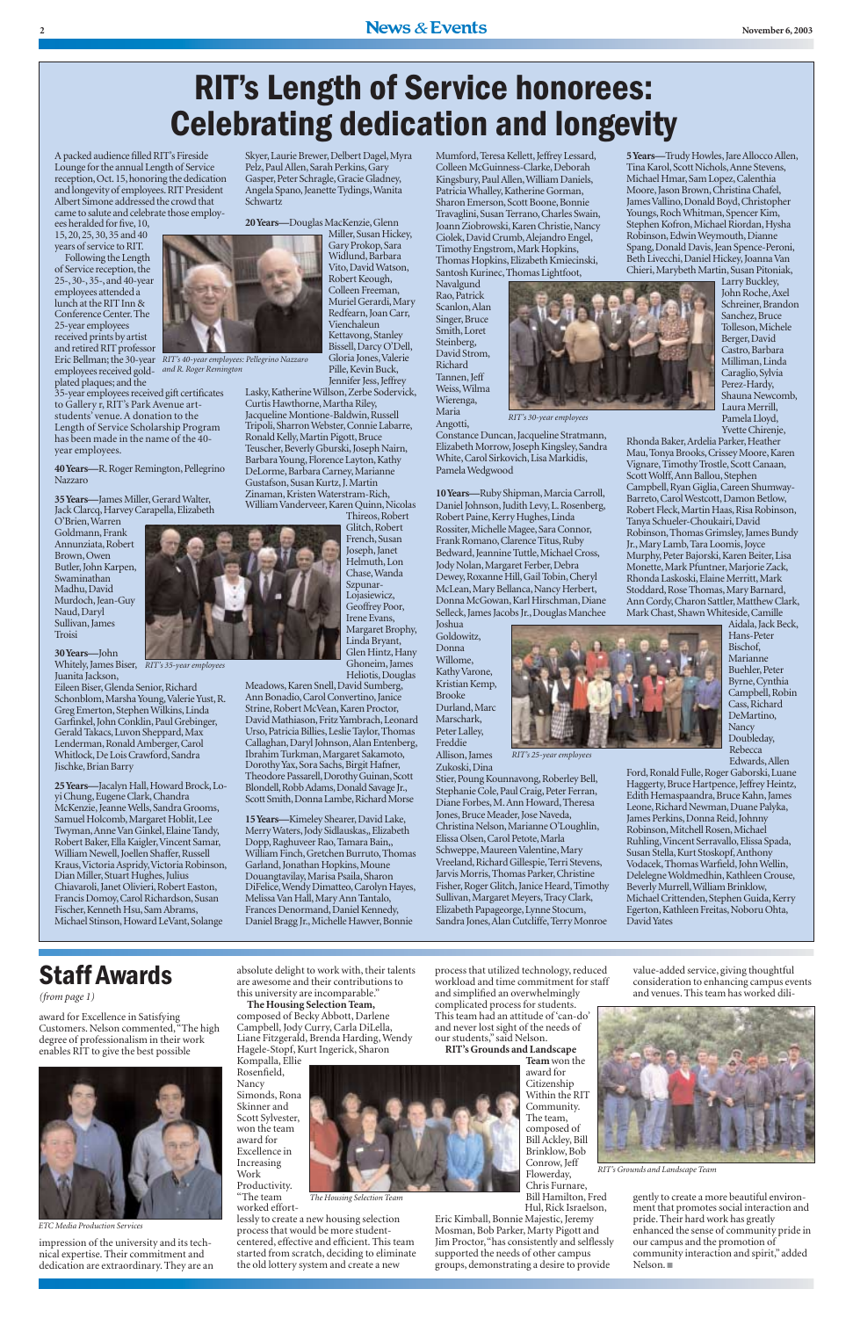A packed audience filled RIT's Fireside Lounge for the annual Length of Service reception,Oct.15,honoring the dedication and longevity of employees.RIT President Albert Simone addressed the crowd that came to salute and celebrate those employ-

ees heralded for five,10, 15,20,25,30,35 and 40 years of service to RIT.

**40 Years—R.** Roger Remington, Pellegrino Nazzaro

**35 Years—**James Miller,Gerard Walter, Jack Clarcq, Harvey Carapella, Elizabeth

plated plaques; and the 35-year employees received gift certificates to Gallery r, RIT's Park Avenue artstudents' venue. A donation to the Length of Service Scholarship Program has been made in the name of the 40 year employees.

Skyer, Laurie Brewer, Delbert Dagel, Myra Pelz, Paul Allen, Sarah Perkins, Gary Gasper, Peter Schragle, Gracie Gladney, Angela Spano,Jeanette Tydings,Wanita Schwartz

**20 Years—**Douglas MacKenzie,Glenn Miller, Susan Hickey,

O'Brien,Warren Goldmann, Frank Annunziata,Robert Brown,Owen Butler, John Karpen, Swaminathan Madhu, David Murdoch, Jean-Guy Naud,Daryl Sullivan,James Troisi

Gary Prokop,Sara Widlund, Barbara Vito,David Watson, Robert Keough, Colleen Freeman, Muriel Gerardi,Mary Redfearn,Joan Carr, Vienchaleun Kettavong, Stanley Bissell,Darcy O'Dell, Gloria Jones,Valerie Pille, Kevin Buck,

**30 Years—**John Juanita Jackson,

Eileen Biser, Glenda Senior, Richard Schonblom, Marsha Young, Valerie Yust, R. Greg Emerton,Stephen Wilkins,Linda Garfinkel, John Conklin, Paul Grebinger, Gerald Takacs, Luvon Sheppard, Max Lenderman, Ronald Amberger, Carol Whitlock, De Lois Crawford, Sandra Jischke, Brian Barry

25 Years-Jacalyn Hall, Howard Brock, Loyi Chung, Eugene Clark, Chandra McKenzie, Jeanne Wells, Sandra Grooms, Samuel Holcomb, Margaret Hoblit, Lee Twyman, Anne Van Ginkel, Elaine Tandy, Robert Baker,Ella Kaigler,Vincent Samar, William Newell, Joellen Shaffer, Russell Kraus,Victoria Aspridy,Victoria Robinson, Dian Miller, Stuart Hughes, Julius Chiavaroli,Janet Olivieri,Robert Easton, Francis Domoy, Carol Richardson, Susan Fischer, Kenneth Hsu, Sam Abrams, Michael Stinson, Howard LeVant, Solange

Meadows,Karen Snell,David Sumberg, Ann Bonadio,Carol Convertino,Janice Strine, Robert McVean, Karen Proctor, David Mathiason, Fritz Yambrach, Leonard Urso,Patricia Billies,Leslie Taylor,Thomas Callaghan,Daryl Johnson,Alan Entenberg, Ibrahim Turkman, Margaret Sakamoto, Dorothy Yax, Sora Sachs, Birgit Hafner, Theodore Passarell, Dorothy Guinan, Scott Blondell, Robb Adams, Donald Savage Jr., Scott Smith, Donna Lambe, Richard Morse

15 Years-Kimeley Shearer, David Lake, Merry Waters, Jody Sidlauskas,, Elizabeth Dopp,Raghuveer Rao,Tamara Bain,, William Finch,Gretchen Burruto,Thomas Garland, Jonathan Hopkins, Moune Douangtavilay, Marisa Psaila, Sharon DiFelice, Wendy Dimatteo, Carolyn Hayes, Melissa Van Hall, Mary Ann Tantalo, Frances Denormand,Daniel Kennedy, Daniel Bragg Jr., Michelle Hawver, Bonnie

Mumford, Teresa Kellett, Jeffrey Lessard, Colleen McGuinness-Clarke,Deborah Kingsbury,Paul Allen,William Daniels, Patricia Whalley, Katherine Gorman, Sharon Emerson, Scott Boone, Bonnie Travaglini, Susan Terrano, Charles Swain, Joann Ziobrowski, Karen Christie, Nancy Ciolek,David Crumb,Alejandro Engel, Timothy Engstrom, Mark Hopkins, Thomas Hopkins,Elizabeth Kmiecinski, Santosh Kurinec,Thomas Lightfoot,

Thireos,Robert Glitch, Robert French, Susan Joseph,Janet Helmuth,Lon Chase,Wanda Szpunar-Lojasiewicz, Geoffrey Poor, Irene Evans, Margaret Brophy, Linda Bryant, Glen Hintz, Hany Ghoneim, James Heliotis,Douglas Rhonda Baker,Ardelia Parker,Heather Mau,Tonya Brooks,Crissey Moore,Karen Vignare, Timothy Trostle, Scott Canaan, Scott Wolff, Ann Ballou, Stephen Campbell,Ryan Giglia,Careen Shumway-Barreto, Carol Westcott, Damon Betlow, Robert Fleck, Martin Haas, Risa Robinson, Tanya Schueler-Choukairi,David Robinson, Thomas Grimsley, James Bundy Jr.,Mary Lamb,Tara Loomis,Joyce Murphy, Peter Bajorski, Karen Beiter, Lisa Monette,Mark Pfuntner,Marjorie Zack, Rhonda Laskoski, Elaine Merritt, Mark Stoddard, Rose Thomas, Mary Barnard, Ann Cordy, Charon Sattler, Matthew Clark, Mark Chast, Shawn Whiteside, Camille

Ford, Ronald Fulle, Roger Gaborski, Luane Haggerty, Bruce Hartpence, Jeffrey Heintz, Edith Hemaspaandra, Bruce Kahn, James Leone, Richard Newman, Duane Palyka, James Perkins, Donna Reid, Johnny Robinson, Mitchell Rosen, Michael Ruhling,Vincent Serravallo,Elissa Spada, Susan Stella, Kurt Stoskopf, Anthony Vodacek, Thomas Warfield, John Wellin, Delelegne Woldmedhin, Kathleen Crouse, Beverly Murrell,William Brinklow, Michael Crittenden, Stephen Guida, Kerry Egerton, Kathleen Freitas, Noboru Ohta, David Yates

Following the Length of Service reception,the 25-,30-,35-,and 40-year employees attended a lunch at the RIT Inn & Conference Center.The 25-year employees received prints by artist and retired RIT professor employees received gold-*and R. Roger Remington*

Eric Bellman; the 30-year *RIT's 40-year employees: Pellegrino Nazzaro* 

Jennifer Jess, Jeffrey Lasky, Katherine Willson, Zerbe Sodervick, Curtis Hawthorne, Martha Riley, Jacqueline Montione-Baldwin, Russell Tripoli, Sharron Webster, Connie Labarre, Ronald Kelly, Martin Pigott, Bruce Teuscher, Beverly Gburski, Joseph Nairn, Barbara Young, Florence Layton, Kathy DeLorme, Barbara Carney, Marianne Gustafson,Susan Kurtz,J.Martin Zinaman,Kristen Waterstram-Rich, William Vanderveer, Karen Quinn, Nicolas

Navalgund Rao,Patrick Scanlon,Alan Singer, Bruce Smith,Loret Steinberg, David Strom, Richard Tannen, Jeff Weiss,Wilma Wierenga, Maria



Whitely,James Biser, *RIT's 35-year employees*

Angotti, Constance Duncan,Jacqueline Stratmann, Elizabeth Morrow, Joseph Kingsley, Sandra White, Carol Sirkovich, Lisa Markidis, Pamela Wedgwood

10 Years-Ruby Shipman, Marcia Carroll, Daniel Johnson, Judith Levy, L. Rosenberg, Robert Paine, Kerry Hughes, Linda Rossiter, Michelle Magee, Sara Connor, Frank Romano, Clarence Titus, Ruby Bedward, Jeannine Tuttle, Michael Cross, Jody Nolan, Margaret Ferber, Debra Dewey, Roxanne Hill, Gail Tobin, Cheryl McLean, Mary Bellanca, Nancy Herbert, Donna McGowan,Karl Hirschman,Diane Selleck, James Jacobs Jr., Douglas Manchee

Joshua Goldowitz, Donna Willome, Kathy Varone, Kristian Kemp, Brooke Durland, Marc Marschark, Peter Lalley, Freddie

Allison,James

Zukoski,Dina Stier, Poung Kounnavong, Roberley Bell, Stephanie Cole, Paul Craig, Peter Ferran, Diane Forbes,M.Ann Howard,Theresa Jones, Bruce Meader, Jose Naveda, Christina Nelson, Marianne O'Loughlin, Elissa Olsen,Carol Petote,Marla Schweppe, Maureen Valentine, Mary Vreeland, Richard Gillespie, Terri Stevens, Jarvis Morris,Thomas Parker,Christine Fisher, Roger Glitch, Janice Heard, Timothy Sullivan, Margaret Meyers, Tracy Clark, Elizabeth Papageorge,Lynne Stocum, Sandra Jones,Alan Cutcliffe,Terry Monroe

5 Years-Trudy Howles, Jare Allocco Allen, Tina Karol, Scott Nichols, Anne Stevens, Michael Hmar, Sam Lopez, Calenthia Moore, Jason Brown, Christina Chafel, James Vallino, Donald Boyd, Christopher Youngs, Roch Whitman, Spencer Kim, Stephen Kofron, Michael Riordan, Hysha Robinson,Edwin Weymouth,Dianne Spang, Donald Davis, Jean Spence-Peroni, Beth Livecchi, Daniel Hickey, Joanna Van Chieri, Marybeth Martin, Susan Pitoniak,

Larry Buckley, John Roche,Axel Schreiner, Brandon Sanchez, Bruce Tolleson, Michele Berger,David Castro, Barbara Milliman,Linda Caraglio,Sylvia Perez-Hardy, Shauna Newcomb, Laura Merrill, Pamela Lloyd,

Yvette Chirenie,

Aidala,Jack Beck, Hans-Peter Bischof, Marianne Buehler, Peter Byrne,Cynthia Campbell, Robin Cass, Richard DeMartino, **Nancy** Doubleday, Rebecca Edwards,Allen

#### **2** News & Events **News 2003**

# **RIT's Length of Service honorees: Celebrating dedication and longevity**



*RIT's 30-year employees*



award for Excellence in Satisfying Customers. Nelson commented,"The high degree of professionalism in their work enables RIT to give the best possible

impression of the university and its technical expertise. Their commitment and dedication are extraordinary. They are an absolute delight to work with, their talents are awesome and their contributions to this university are incomparable." **The Housing Selection Team,** composed of Becky Abbott, Darlene Campbell, Jody Curry, Carla DiLella, Liane Fitzgerald, Brenda Harding, Wendy Hagele-Stopf, Kurt Ingerick, Sharon Kompalla, Ellie

Rosenfield, Nancy Simonds, Rona Skinner and Scott Sylvester, won the team award for Excellence in Increasing Work Productivity. "The team

worked effort-

lessly to create a new housing selection process that would be more studentcentered, effective and efficient. This team started from scratch, deciding to eliminate the old lottery system and create a new

process that utilized technology, reduced workload and time commitment for staff and simplified an overwhelmingly complicated process for students. This team had an attitude of 'can-do' and never lost sight of the needs of our students," said Nelson. **RIT's Grounds and Landscape**



award for **Citizenship** Within the RIT Community. The team, composed of Bill Ackley, Bill Brinklow, Bob Conrow, Jeff Flowerday, Chris Furnare, Bill Hamilton, Fred

Hul, Rick Israelson,

Eric Kimball, Bonnie Majestic, Jeremy Mosman, Bob Parker, Marty Pigott and Jim Proctor,"has consistently and selflessly supported the needs of other campus groups, demonstrating a desire to provide

value-added service, giving thoughtful consideration to enhancing campus events and venues. This team has worked dili-

gently to create a more beautiful environment that promotes social interaction and pride. Their hard work has greatly enhanced the sense of community pride in our campus and the promotion of community interaction and spirit," added Nelson. ■

### **Staff Awards**

*(from page 1)*



*ETC Media Production Services* 

*The Housing Selection Team*



*RIT's Grounds and Landscape Team*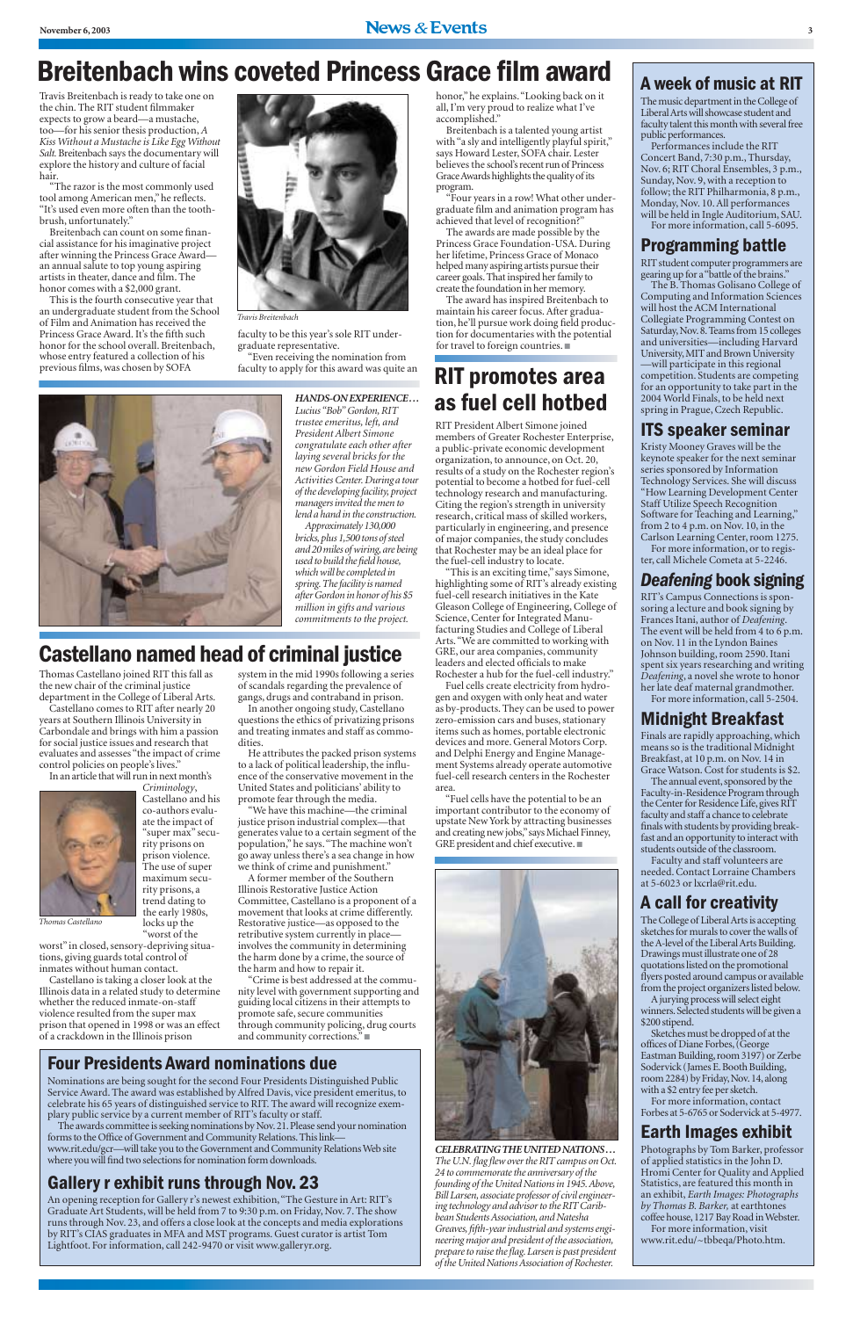### **Breitenbach wins coveted Princess Grace film award**

### **Castellano named head of criminal justice**

#### **A week of music at RIT**

The music department in the College of Liberal Arts will showcase student and faculty talent this month with several free public performances.

Performances include the RIT Concert Band, 7:30 p.m., Thursday, Nov. 6; RIT Choral Ensembles, 3 p.m., Sunday, Nov. 9, with a reception to follow; the RIT Philharmonia, 8 p.m., Monday, Nov. 10. All performances will be held in Ingle Auditorium, SAU. For more information, call 5-6095.

#### **Programming battle**

RIT student computer programmers are gearing up for a "battle of the brains."

The B. Thomas Golisano College of Computing and Information Sciences will host the ACM International Collegiate Programming Contest on Saturday,Nov.8.Teams from 15 colleges and universities—including Harvard University,MIT and Brown University —will participate in this regional competition. Students are competing for an opportunity to take part in the 2004 World Finals, to be held next spring in Prague, Czech Republic.

#### **ITS speaker seminar**

The annual event, sponsored by the Faculty-in-Residence Program through the Center for Residence Life, gives RIT faculty and staff a chance to celebrate finals with students by providing breakfast and an opportunity to interact with students outside of the classroom.

Kristy Mooney Graves will be the keynote speaker for the next seminar series sponsored by Information Technology Services. She will discuss "How Learning Development Center Staff Utilize Speech Recognition Software for Teaching and Learning," from 2 to 4 p.m. on Nov. 10, in the Carlson Learning Center, room 1275.

For more information, or to register, call Michele Cometa at 5-2246.

#### *Deafening* **book signing**

RIT's Campus Connections is sponsoring a lecture and book signing by Frances Itani, author of *Deafening*. The event will be held from 4 to 6 p.m. on Nov. 11 in the Lyndon Baines Johnson building, room 2590. Itani spent six years researching and writing *Deafening*, a novel she wrote to honor her late deaf maternal grandmother. For more information, call 5-2504.

### **Midnight Breakfast**

Finals are rapidly approaching, which means so is the traditional Midnight Breakfast, at 10 p.m. on Nov. 14 in Grace Watson. Cost for students is \$2.

Faculty and staff volunteers are needed. Contact Lorraine Chambers at 5-6023 or lxcrla@rit.edu.

#### **A call for creativity**

The College of Liberal Arts is accepting sketches for murals to cover the walls of the A-level of the Liberal Arts Building. Drawings must illustrate one of 28 quotations listed on the promotional flyers posted around campus or available from the project organizers listed below. A jurying process will select eight winners.Selected students will be given a \$200 stipend. Sketches must be dropped of at the offices of Diane Forbes,(George Eastman Building, room 3197) or Zerbe Sodervick (James E. Booth Building, room 2284) by Friday,Nov.14,along with a \$2 entry fee per sketch. For more information, contact Forbes at 5-6765 or Sodervick at 5-4977.

#### **Earth Images exhibit**

Photographs by Tom Barker, professor of applied statistics in the John D. Hromi Center for Quality and Applied Statistics, are featured this month in an exhibit, *Earth Images: Photographs by Thomas B. Barker,* at earthtones coffee house,1217 Bay Road in Webster. For more information, visit www.rit.edu/~tbbeqa/Photo.htm.

Travis Breitenbach is ready to take one on the chin. The RIT student filmmaker expects to grow a beard—a mustache, too—for his senior thesis production,*A Kiss Without a Mustache is Like Egg Without Salt.*Breitenbach says the documentary will explore the history and culture of facial hair*.*

"The razor is the most commonly used tool among American men," he reflects. "It's used even more often than the toothbrush, unfortunately."

Breitenbach can count on some financial assistance for his imaginative project after winning the Princess Grace Award an annual salute to top young aspiring artists in theater, dance and film. The honor comes with a \$2,000 grant.

This is the fourth consecutive year that an undergraduate student from the School of Film and Animation has received the Princess Grace Award. It's the fifth such honor for the school overall. Breitenbach, whose entry featured a collection of his previous films, was chosen by SOFA



faculty to be this year's sole RIT undergraduate representative.

"Even receiving the nomination from faculty to apply for this award was quite an



honor," he explains."Looking back on it all, I'm very proud to realize what I've accomplished."

Breitenbach is a talented young artist with "a sly and intelligently playful spirit," says Howard Lester, SOFA chair. Lester believes the school's recent run of Princess Grace Awards highlights the quality of its program.

"Four years in a row! What other undergraduate film and animation program has achieved that level of recognition?"

The awards are made possible by the Princess Grace Foundation-USA. During her lifetime, Princess Grace of Monaco helped many aspiring artists pursue their career goals.That inspired her family to create the foundation in her memory.

The award has inspired Breitenbach to maintain his career focus. After graduation, he'll pursue work doing field production for documentaries with the potential for travel to foreign countries. ■

*Travis Breitenbach*

#### *HANDS-ON EXPERIENCE ...*

*Lucius "Bob" Gordon, RIT trustee emeritus, left, and President Albert Simone congratulate each other after laying several bricks for the new Gordon Field House and Activities Center. During a tour of the developing facility, project managers invited the men to lend a hand in the construction.*

*Approximately 130,000 bricks,plus 1,500 tons of steel and 20 miles of wiring,are being used to build the field house, which will be completed in spring.The facility is named after Gordon in honor of his \$5 million in gifts and various commitments to the project.*

RIT President Albert Simone joined members of Greater Rochester Enterprise, a public-private economic development organization, to announce, on Oct. 20, results of a study on the Rochester region's potential to become a hotbed for fuel-cell technology research and manufacturing. Citing the region's strength in university research, critical mass of skilled workers, particularly in engineering, and presence of major companies, the study concludes that Rochester may be an ideal place for the fuel-cell industry to locate.

"This is an exciting time," says Simone, highlighting some of RIT's already existing fuel-cell research initiatives in the Kate Gleason College of Engineering, College of Science, Center for Integrated Manufacturing Studies and College of Liberal Arts."We are committed to working with GRE, our area companies, community leaders and elected officials to make Rochester a hub for the fuel-cell industry."

Fuel cells create electricity from hydrogen and oxygen with only heat and water as by-products. They can be used to power zero-emission cars and buses, stationary items such as homes, portable electronic devices and more. General Motors Corp. and Delphi Energy and Engine Management Systems already operate automotive fuel-cell research centers in the Rochester area.

"Fuel cells have the potential to be an important contributor to the economy of upstate New York by attracting businesses and creating new jobs,"says Michael Finney, GRE president and chief executive. ■



Thomas Castellano joined RIT this fall as the new chair of the criminal justice department in the College of Liberal Arts.

Castellano comes to RIT after nearly 20 years at Southern Illinois University in Carbondale and brings with him a passion for social justice issues and research that evaluates and assesses "the impact of crime control policies on people's lives."

In an article that will run in next month's



*Criminology*, Castellano and his co-authors evaluate the impact of "super max" security prisons on prison violence. The use of super maximum security prisons, a trend dating to the early 1980s, locks up the "worst of the

worst" in closed, sensory-depriving situations, giving guards total control of

inmates without human contact.

Castellano is taking a closer look at the Illinois data in a related study to determine whether the reduced inmate-on-staff violence resulted from the super max prison that opened in 1998 or was an effect of a crackdown in the Illinois prison

system in the mid 1990s following a series of scandals regarding the prevalence of gangs, drugs and contraband in prison.

In another ongoing study, Castellano questions the ethics of privatizing prisons and treating inmates and staff as commodities.

He attributes the packed prison systems to a lack of political leadership, the influence of the conservative movement in the United States and politicians' ability to promote fear through the media.

"We have this machine—the criminal justice prison industrial complex—that generates value to a certain segment of the population," he says."The machine won't go away unless there's a sea change in how we think of crime and punishment."

A former member of the Southern Illinois Restorative Justice Action Committee, Castellano is a proponent of a movement that looks at crime differently. Restorative justice—as opposed to the retributive system currently in place involves the community in determining the harm done by a crime, the source of

the harm and how to repair it.

"Crime is best addressed at the community level with government supporting and guiding local citizens in their attempts to promote safe, secure communities through community policing, drug courts and community corrections." ■

*Thomas Castellano*

*CELEBRATING THE UNITED NATIONS ... The U.N. flag flew over the RIT campus on Oct. 24 to commemorate the anniversary of the founding of the United Nations in 1945.Above, Bill Larsen, associate professor of civil engineering technology and advisor to the RIT Caribbean Students Association, and Natesha Greaves, fifth-year industrial and systems engineering major and president of the association, prepare to raise the flag. Larsen is past president of the United Nations Association of Rochester.*

#### **Four Presidents Award nominations due**

Nominations are being sought for the second Four Presidents Distinguished Public Service Award. The award was established by Alfred Davis, vice president emeritus, to celebrate his 65 years of distinguished service to RIT. The award will recognize exemplary public service by a current member of RIT's faculty or staff.

The awards committee is seeking nominations by Nov.21.Please send your nomination forms to the Office of Government and Community Relations. This linkwww.rit.edu/gcr—will take you to the Government and Community Relations Web site where you will find two selections for nomination form downloads.

#### **Gallery r exhibit runs through Nov. 23**

An opening reception for Gallery r's newest exhibition,"The Gesture in Art: RIT's Graduate Art Students, will be held from 7 to 9:30 p.m. on Friday, Nov. 7. The show runs through Nov. 23, and offers a close look at the concepts and media explorations by RIT's CIAS graduates in MFA and MST programs. Guest curator is artist Tom Lightfoot. For information, call 242-9470 or visit www.galleryr.org.

### **RIT promotes area as fuel cell hotbed**